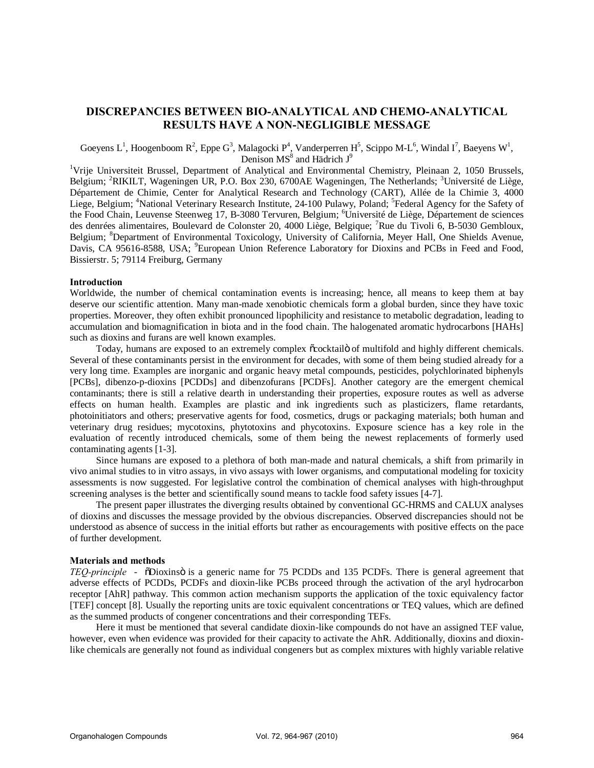# **DISCREPANCIES BETWEEN BIO-ANALYTICAL AND CHEMO-ANALYTICAL RESULTS HAVE A NON-NEGLIGIBLE MESSAGE**

Goeyens L<sup>1</sup>, Hoogenboom R<sup>2</sup>, Eppe G<sup>3</sup>, Malagocki P<sup>4</sup>, Vanderperren H<sup>5</sup>, Scippo M-L<sup>6</sup>, Windal I<sup>7</sup>, Baeyens W<sup>1</sup>, Denison MS<sup>8</sup> and Hädrich J<sup>9</sup>

<sup>1</sup>Vrije Universiteit Brussel, Department of Analytical and Environmental Chemistry, Pleinaan 2, 1050 Brussels, Belgium; <sup>2</sup>RIKILT, Wageningen UR, P.O. Box 230, 6700AE Wageningen, The Netherlands; <sup>3</sup>Université de Liège, Département de Chimie, Center for Analytical Research and Technology (CART), Allée de la Chimie 3, 4000 Liege, Belgium; <sup>4</sup>National Veterinary Research Institute, 24-100 Pulawy, Poland; <sup>5</sup>Federal Agency for the Safety of the Food Chain, Leuvense Steenweg 17, B-3080 Tervuren, Belgium; <sup>6</sup>Université de Liège, Département de sciences des denrées alimentaires, Boulevard de Colonster 20, 4000 Liège, Belgique; <sup>7</sup>Rue du Tivoli 6, B-5030 Gembloux, Belgium; <sup>8</sup>Department of Environmental Toxicology, University of California, Meyer Hall, One Shields Avenue, Davis, CA 95616-8588, USA; <sup>9</sup>European Union Reference Laboratory for Dioxins and PCBs in Feed and Food, Bissierstr. 5; 79114 Freiburg, Germany

## **Introduction**

Worldwide, the number of chemical contamination events is increasing; hence, all means to keep them at bay deserve our scientific attention. Many man-made xenobiotic chemicals form a global burden, since they have toxic properties. Moreover, they often exhibit pronounced lipophilicity and resistance to metabolic degradation, leading to accumulation and biomagnification in biota and in the food chain. The halogenated aromatic hydrocarbons [HAHs] such as dioxins and furans are well known examples.

Today, humans are exposed to an extremely complex  $\tilde{c}$ cocktail of multifold and highly different chemicals. Several of these contaminants persist in the environment for decades, with some of them being studied already for a very long time. Examples are inorganic and organic heavy metal compounds, pesticides, polychlorinated biphenyls [PCBs], dibenzo-p-dioxins [PCDDs] and dibenzofurans [PCDFs]. Another category are the emergent chemical contaminants; there is still a relative dearth in understanding their properties, exposure routes as well as adverse effects on human health. Examples are plastic and ink ingredients such as plasticizers, flame retardants, photoinitiators and others; preservative agents for food, cosmetics, drugs or packaging materials; both human and veterinary drug residues; mycotoxins, phytotoxins and phycotoxins. Exposure science has a key role in the evaluation of recently introduced chemicals, some of them being the newest replacements of formerly used contaminating agents [1-3].

Since humans are exposed to a plethora of both man-made and natural chemicals, a shift from primarily in vivo animal studies to in vitro assays, in vivo assays with lower organisms, and computational modeling for toxicity assessments is now suggested. For legislative control the combination of chemical analyses with high-throughput screening analyses is the better and scientifically sound means to tackle food safety issues [4-7].

The present paper illustrates the diverging results obtained by conventional GC-HRMS and CALUX analyses of dioxins and discusses the message provided by the obvious discrepancies. Observed discrepancies should not be understood as absence of success in the initial efforts but rather as encouragements with positive effects on the pace of further development.

#### **Materials and methods**

*TEQ-principle* -  $\delta$ Dioxinso is a generic name for 75 PCDDs and 135 PCDFs. There is general agreement that adverse effects of PCDDs, PCDFs and dioxin-like PCBs proceed through the activation of the aryl hydrocarbon receptor [AhR] pathway. This common action mechanism supports the application of the toxic equivalency factor [TEF] concept [8]. Usually the reporting units are toxic equivalent concentrations or TEQ values, which are defined as the summed products of congener concentrations and their corresponding TEFs.

Here it must be mentioned that several candidate dioxin-like compounds do not have an assigned TEF value, however, even when evidence was provided for their capacity to activate the AhR. Additionally, dioxins and dioxinlike chemicals are generally not found as individual congeners but as complex mixtures with highly variable relative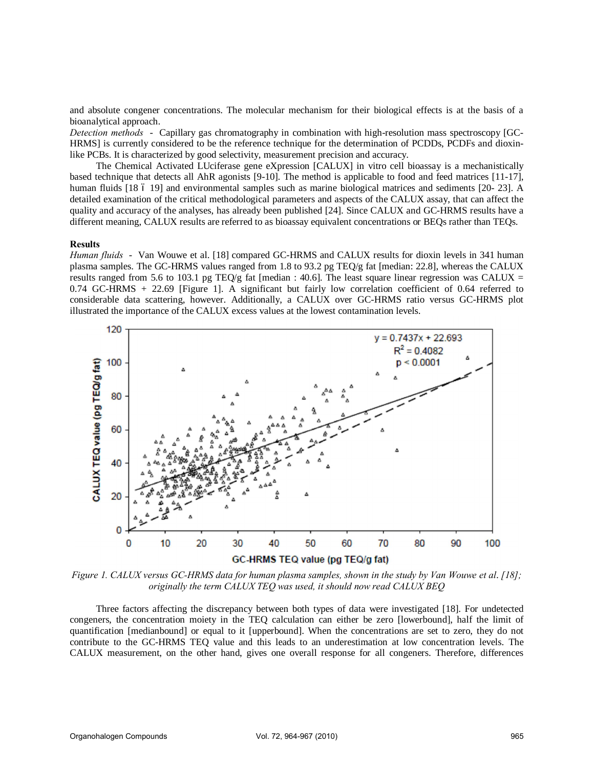and absolute congener concentrations. The molecular mechanism for their biological effects is at the basis of a bioanalytical approach.

*Detection methods* - Capillary gas chromatography in combination with high-resolution mass spectroscopy [GC-HRMS] is currently considered to be the reference technique for the determination of PCDDs, PCDFs and dioxinlike PCBs. It is characterized by good selectivity, measurement precision and accuracy.

The Chemical Activated LUciferase gene eXpression [CALUX] in vitro cell bioassay is a mechanistically based technique that detects all AhR agonists [9-10]. The method is applicable to food and feed matrices [11-17], human fluids [18 6 19] and environmental samples such as marine biological matrices and sediments [20- 23]. A detailed examination of the critical methodological parameters and aspects of the CALUX assay, that can affect the quality and accuracy of the analyses, has already been published [24]. Since CALUX and GC-HRMS results have a different meaning, CALUX results are referred to as bioassay equivalent concentrations or BEQs rather than TEQs.

#### **Results**

*Human fluids* - Van Wouwe et al. [18] compared GC-HRMS and CALUX results for dioxin levels in 341 human plasma samples. The GC-HRMS values ranged from 1.8 to 93.2 pg TEQ/g fat [median: 22.8], whereas the CALUX results ranged from 5.6 to 103.1 pg TEQ/g fat [median : 40.6]. The least square linear regression was CALUX = 0.74 GC-HRMS + 22.69 [Figure 1]. A significant but fairly low correlation coefficient of 0.64 referred to considerable data scattering, however. Additionally, a CALUX over GC-HRMS ratio versus GC-HRMS plot illustrated the importance of the CALUX excess values at the lowest contamination levels.



*Figure 1. CALUX versus GC-HRMS data for human plasma samples, shown in the study by Van Wouwe et al*. *[18]; originally the term CALUX TEQ was used, it should now read CALUX BEQ* 

Three factors affecting the discrepancy between both types of data were investigated [18]. For undetected congeners, the concentration moiety in the TEQ calculation can either be zero [lowerbound], half the limit of quantification [medianbound] or equal to it [upperbound]. When the concentrations are set to zero, they do not contribute to the GC-HRMS TEQ value and this leads to an underestimation at low concentration levels. The CALUX measurement, on the other hand, gives one overall response for all congeners. Therefore, differences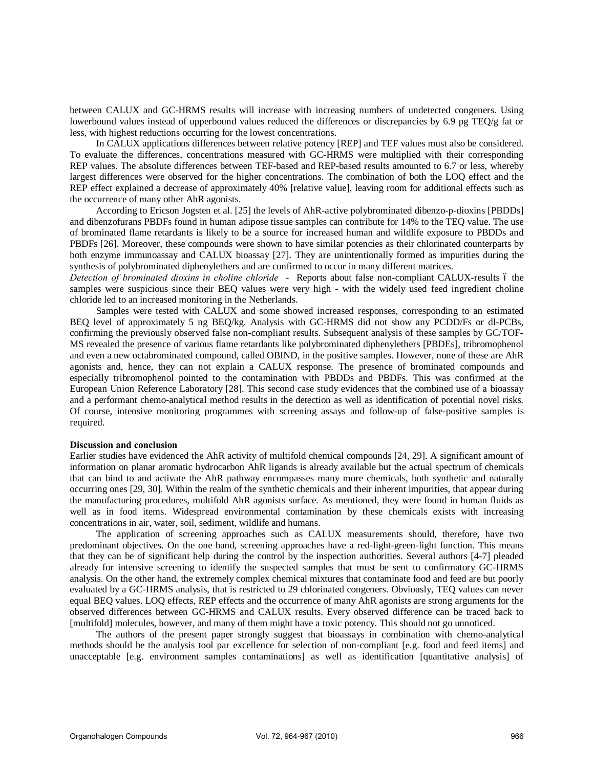between CALUX and GC-HRMS results will increase with increasing numbers of undetected congeners. Using lowerbound values instead of upperbound values reduced the differences or discrepancies by 6.9 pg TEQ/g fat or less, with highest reductions occurring for the lowest concentrations.

In CALUX applications differences between relative potency [REP] and TEF values must also be considered. To evaluate the differences, concentrations measured with GC-HRMS were multiplied with their corresponding REP values. The absolute differences between TEF-based and REP-based results amounted to 6.7 or less, whereby largest differences were observed for the higher concentrations. The combination of both the LOQ effect and the REP effect explained a decrease of approximately 40% [relative value], leaving room for additional effects such as the occurrence of many other AhR agonists.

According to Ericson Jogsten et al. [25] the levels of AhR-active polybrominated dibenzo-p-dioxins [PBDDs] and dibenzofurans PBDFs found in human adipose tissue samples can contribute for 14% to the TEQ value. The use of brominated flame retardants is likely to be a source for increased human and wildlife exposure to PBDDs and PBDFs [26]. Moreover, these compounds were shown to have similar potencies as their chlorinated counterparts by both enzyme immunoassay and CALUX bioassay [27]. They are unintentionally formed as impurities during the synthesis of polybrominated diphenylethers and are confirmed to occur in many different matrices.

*Detection of brominated dioxins in choline chloride - Reports about false non-compliant CALUX-results 6 the* samples were suspicious since their BEQ values were very high - with the widely used feed ingredient choline chloride led to an increased monitoring in the Netherlands.

Samples were tested with CALUX and some showed increased responses, corresponding to an estimated BEQ level of approximately 5 ng BEQ/kg. Analysis with GC-HRMS did not show any PCDD/Fs or dl-PCBs, confirming the previously observed false non-compliant results. Subsequent analysis of these samples by GC/TOF-MS revealed the presence of various flame retardants like polybrominated diphenylethers [PBDEs], tribromophenol and even a new octabrominated compound, called OBIND, in the positive samples. However, none of these are AhR agonists and, hence, they can not explain a CALUX response. The presence of brominated compounds and especially tribromophenol pointed to the contamination with PBDDs and PBDFs. This was confirmed at the European Union Reference Laboratory [28]. This second case study evidences that the combined use of a bioassay and a performant chemo-analytical method results in the detection as well as identification of potential novel risks. Of course, intensive monitoring programmes with screening assays and follow-up of false-positive samples is required.

#### **Discussion and conclusion**

Earlier studies have evidenced the AhR activity of multifold chemical compounds [24, 29]. A significant amount of information on planar aromatic hydrocarbon AhR ligands is already available but the actual spectrum of chemicals that can bind to and activate the AhR pathway encompasses many more chemicals, both synthetic and naturally occurring ones [29, 30]. Within the realm of the synthetic chemicals and their inherent impurities, that appear during the manufacturing procedures, multifold AhR agonists surface. As mentioned, they were found in human fluids as well as in food items. Widespread environmental contamination by these chemicals exists with increasing concentrations in air, water, soil, sediment, wildlife and humans.

The application of screening approaches such as CALUX measurements should, therefore, have two predominant objectives. On the one hand, screening approaches have a red-light-green-light function. This means that they can be of significant help during the control by the inspection authorities. Several authors [4-7] pleaded already for intensive screening to identify the suspected samples that must be sent to confirmatory GC-HRMS analysis. On the other hand, the extremely complex chemical mixtures that contaminate food and feed are but poorly evaluated by a GC-HRMS analysis, that is restricted to 29 chlorinated congeners. Obviously, TEQ values can never equal BEQ values. LOQ effects, REP effects and the occurrence of many AhR agonists are strong arguments for the observed differences between GC-HRMS and CALUX results. Every observed difference can be traced back to [multifold] molecules, however, and many of them might have a toxic potency. This should not go unnoticed.

The authors of the present paper strongly suggest that bioassays in combination with chemo-analytical methods should be the analysis tool par excellence for selection of non-compliant [e.g. food and feed items] and unacceptable [e.g. environment samples contaminations] as well as identification [quantitative analysis] of